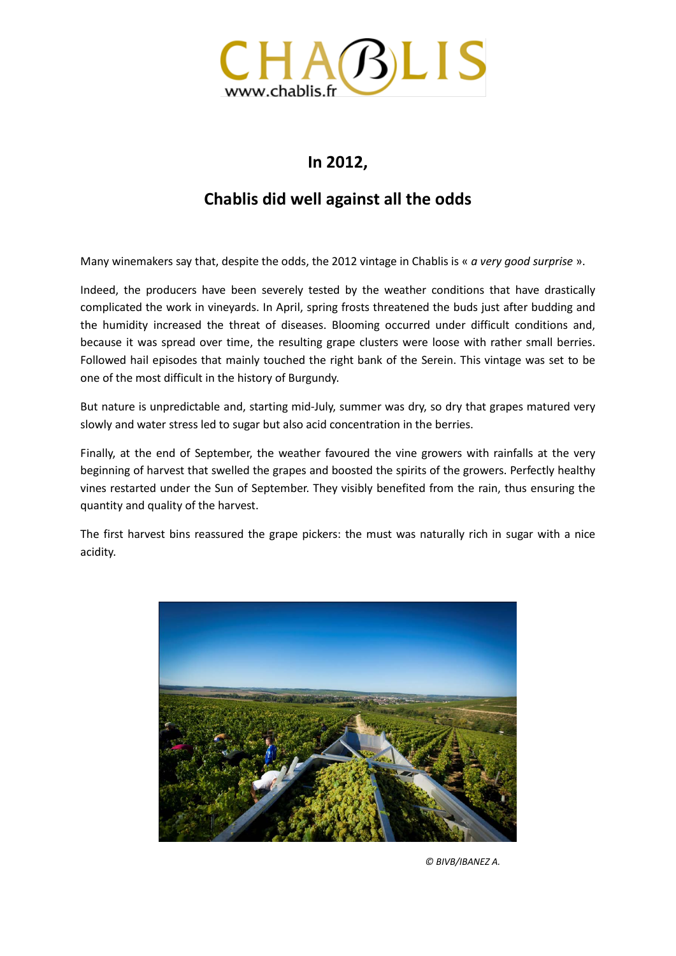

## **In 2012,**

## **Chablis did well against all the odds**

Many winemakers say that, despite the odds, the 2012 vintage in Chablis is « *a very good surprise* ».

Indeed, the producers have been severely tested by the weather conditions that have drastically complicated the work in vineyards. In April, spring frosts threatened the buds just after budding and the humidity increased the threat of diseases. Blooming occurred under difficult conditions and, because it was spread over time, the resulting grape clusters were loose with rather small berries. Followed hail episodes that mainly touched the right bank of the Serein. This vintage was set to be one of the most difficult in the history of Burgundy.

But nature is unpredictable and, starting mid-July, summer was dry, so dry that grapes matured very slowly and water stress led to sugar but also acid concentration in the berries.

Finally, at the end of September, the weather favoured the vine growers with rainfalls at the very beginning of harvest that swelled the grapes and boosted the spirits of the growers. Perfectly healthy vines restarted under the Sun of September. They visibly benefited from the rain, thus ensuring the quantity and quality of the harvest.

The first harvest bins reassured the grape pickers: the must was naturally rich in sugar with a nice acidity.



 *© BIVB/IBANEZ A.*